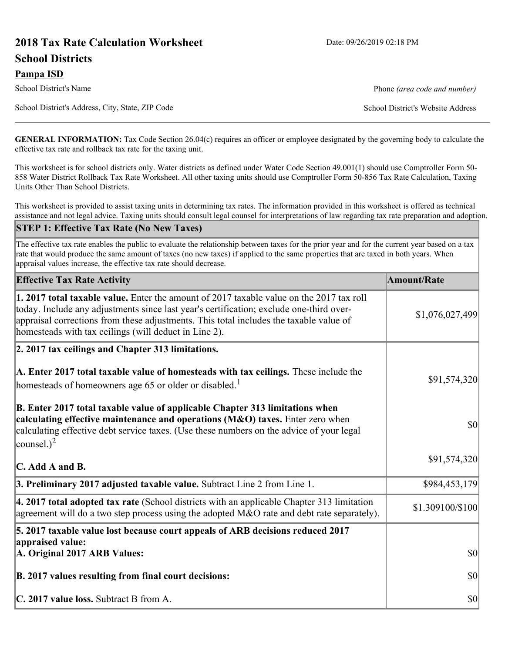# **2018 Tax Rate Calculation Worksheet** Date: 09/26/2019 02:18 PM **School Districts**

**Pampa ISD**

School District's Name **Phone** *(area code and number)* Phone *(area code and number)* 

School District's Address, City, State, ZIP Code School District's Website Address

**GENERAL INFORMATION:** Tax Code Section 26.04(c) requires an officer or employee designated by the governing body to calculate the effective tax rate and rollback tax rate for the taxing unit.

This worksheet is for school districts only. Water districts as defined under Water Code Section 49.001(1) should use Comptroller Form 50- 858 Water District Rollback Tax Rate Worksheet. All other taxing units should use Comptroller Form 50-856 Tax Rate Calculation, Taxing Units Other Than School Districts.

This worksheet is provided to assist taxing units in determining tax rates. The information provided in this worksheet is offered as technical assistance and not legal advice. Taxing units should consult legal counsel for interpretations of law regarding tax rate preparation and adoption.

#### **STEP 1: Effective Tax Rate (No New Taxes)**

The effective tax rate enables the public to evaluate the relationship between taxes for the prior year and for the current year based on a tax rate that would produce the same amount of taxes (no new taxes) if applied to the same properties that are taxed in both years. When appraisal values increase, the effective tax rate should decrease.

| <b>Effective Tax Rate Activity</b>                                                                                                                                                                                                                                                                                                     | <b>Amount/Rate</b> |
|----------------------------------------------------------------------------------------------------------------------------------------------------------------------------------------------------------------------------------------------------------------------------------------------------------------------------------------|--------------------|
| 1. 2017 total taxable value. Enter the amount of 2017 taxable value on the 2017 tax roll<br>today. Include any adjustments since last year's certification; exclude one-third over-<br>appraisal corrections from these adjustments. This total includes the taxable value of<br>homesteads with tax ceilings (will deduct in Line 2). | \$1,076,027,499    |
| 2. 2017 tax ceilings and Chapter 313 limitations.                                                                                                                                                                                                                                                                                      |                    |
| A. Enter 2017 total taxable value of homesteads with tax ceilings. These include the<br>homesteads of homeowners age 65 or older or disabled. <sup>1</sup>                                                                                                                                                                             | \$91,574,320       |
| B. Enter 2017 total taxable value of applicable Chapter 313 limitations when<br>calculating effective maintenance and operations (M&O) taxes. Enter zero when<br>calculating effective debt service taxes. (Use these numbers on the advice of your legal<br>counsel.) <sup>2</sup>                                                    | $ 10\rangle$       |
| $\mathbf C$ . Add A and B.                                                                                                                                                                                                                                                                                                             | \$91,574,320       |
| 3. Preliminary 2017 adjusted taxable value. Subtract Line 2 from Line 1.                                                                                                                                                                                                                                                               | \$984,453,179      |
| $\vert$ 4. 2017 total adopted tax rate (School districts with an applicable Chapter 313 limitation<br>agreement will do a two step process using the adopted M&O rate and debt rate separately).                                                                                                                                       | \$1.309100/\$100   |
| 5. 2017 taxable value lost because court appeals of ARB decisions reduced 2017                                                                                                                                                                                                                                                         |                    |
| appraised value:<br>A. Original 2017 ARB Values:                                                                                                                                                                                                                                                                                       | $ 10\rangle$       |
| B. 2017 values resulting from final court decisions:                                                                                                                                                                                                                                                                                   | $ 10\rangle$       |
| C. 2017 value loss. Subtract B from A.                                                                                                                                                                                                                                                                                                 | $ 10\rangle$       |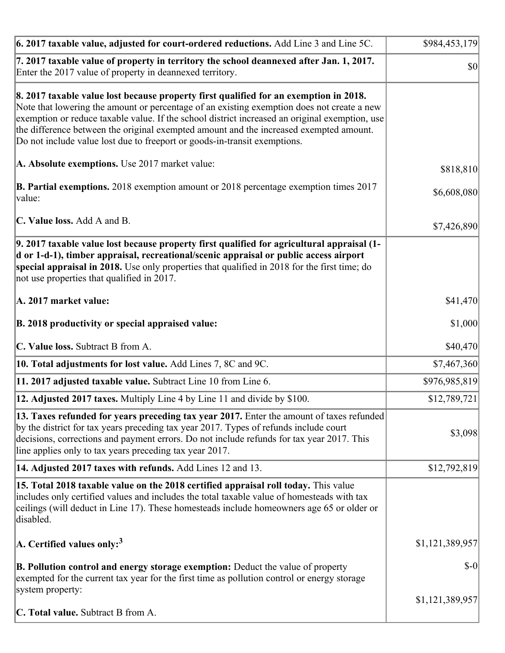| $\vert$ 6. 2017 taxable value, adjusted for court-ordered reductions. Add Line 3 and Line 5C.                                                                                                                                                                                                                                                                                                                                                                | \$984,453,179   |
|--------------------------------------------------------------------------------------------------------------------------------------------------------------------------------------------------------------------------------------------------------------------------------------------------------------------------------------------------------------------------------------------------------------------------------------------------------------|-----------------|
| 7. 2017 taxable value of property in territory the school deannexed after Jan. 1, 2017.<br>Enter the 2017 value of property in deannexed territory.                                                                                                                                                                                                                                                                                                          | \$0             |
| 8. 2017 taxable value lost because property first qualified for an exemption in 2018.<br>Note that lowering the amount or percentage of an existing exemption does not create a new<br>exemption or reduce taxable value. If the school district increased an original exemption, use<br>the difference between the original exempted amount and the increased exempted amount.<br>Do not include value lost due to freeport or goods-in-transit exemptions. |                 |
| A. Absolute exemptions. Use 2017 market value:                                                                                                                                                                                                                                                                                                                                                                                                               | \$818,810       |
| <b>B. Partial exemptions.</b> 2018 exemption amount or 2018 percentage exemption times 2017<br>$\vert$ value:                                                                                                                                                                                                                                                                                                                                                | \$6,608,080     |
| C. Value loss. Add A and B.                                                                                                                                                                                                                                                                                                                                                                                                                                  | \$7,426,890     |
| 9. 2017 taxable value lost because property first qualified for agricultural appraisal (1-<br>d or 1-d-1), timber appraisal, recreational/scenic appraisal or public access airport<br>special appraisal in 2018. Use only properties that qualified in 2018 for the first time; do<br>not use properties that qualified in 2017.                                                                                                                            |                 |
| A. 2017 market value:                                                                                                                                                                                                                                                                                                                                                                                                                                        | \$41,470        |
| B. 2018 productivity or special appraised value:                                                                                                                                                                                                                                                                                                                                                                                                             | \$1,000         |
| C. Value loss. Subtract B from A.                                                                                                                                                                                                                                                                                                                                                                                                                            | \$40,470        |
| <b>10. Total adjustments for lost value.</b> Add Lines 7, 8C and 9C.                                                                                                                                                                                                                                                                                                                                                                                         | \$7,467,360     |
| 11. 2017 adjusted taxable value. Subtract Line 10 from Line 6.                                                                                                                                                                                                                                                                                                                                                                                               | \$976,985,819   |
| 12. Adjusted 2017 taxes. Multiply Line 4 by Line 11 and divide by \$100.                                                                                                                                                                                                                                                                                                                                                                                     | \$12,789,721    |
| [13. Taxes refunded for years preceding tax year 2017. Enter the amount of taxes refunded]<br>by the district for tax years preceding tax year 2017. Types of refunds include court<br>decisions, corrections and payment errors. Do not include refunds for tax year 2017. This<br>line applies only to tax years preceding tax year 2017.                                                                                                                  | \$3,098         |
| 14. Adjusted 2017 taxes with refunds. Add Lines 12 and 13.                                                                                                                                                                                                                                                                                                                                                                                                   | \$12,792,819    |
| 15. Total 2018 taxable value on the 2018 certified appraisal roll today. This value<br>includes only certified values and includes the total taxable value of homesteads with tax<br>ceilings (will deduct in Line 17). These homesteads include homeowners age 65 or older or<br>disabled.                                                                                                                                                                  |                 |
| $ A$ . Certified values only: <sup>3</sup>                                                                                                                                                                                                                                                                                                                                                                                                                   | \$1,121,389,957 |
| B. Pollution control and energy storage exemption: Deduct the value of property<br>exempted for the current tax year for the first time as pollution control or energy storage<br>system property:                                                                                                                                                                                                                                                           | $$-0$           |
| <b>C. Total value.</b> Subtract B from A.                                                                                                                                                                                                                                                                                                                                                                                                                    | \$1,121,389,957 |
|                                                                                                                                                                                                                                                                                                                                                                                                                                                              |                 |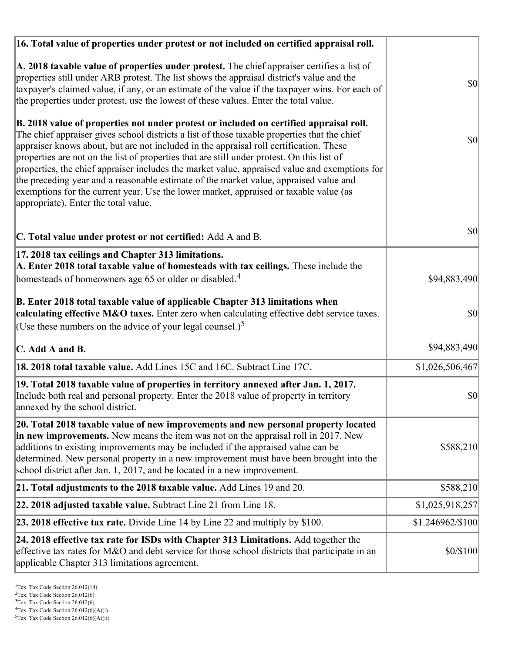| 16. Total value of properties under protest or not included on certified appraisal roll.                                                                                                                                                                                                                                                                                                                                                                                                                                                                                                                                                                                                                  |                  |
|-----------------------------------------------------------------------------------------------------------------------------------------------------------------------------------------------------------------------------------------------------------------------------------------------------------------------------------------------------------------------------------------------------------------------------------------------------------------------------------------------------------------------------------------------------------------------------------------------------------------------------------------------------------------------------------------------------------|------------------|
| A. 2018 taxable value of properties under protest. The chief appraiser certifies a list of<br>properties still under ARB protest. The list shows the appraisal district's value and the<br>taxpayer's claimed value, if any, or an estimate of the value if the taxpayer wins. For each of<br>the properties under protest, use the lowest of these values. Enter the total value.                                                                                                                                                                                                                                                                                                                        | <b>\$0</b>       |
| B. 2018 value of properties not under protest or included on certified appraisal roll.<br>The chief appraiser gives school districts a list of those taxable properties that the chief<br>appraiser knows about, but are not included in the appraisal roll certification. These<br>properties are not on the list of properties that are still under protest. On this list of<br>properties, the chief appraiser includes the market value, appraised value and exemptions for<br>the preceding year and a reasonable estimate of the market value, appraised value and<br>exemptions for the current year. Use the lower market, appraised or taxable value (as<br>appropriate). Enter the total value. | $ 10\rangle$     |
| C. Total value under protest or not certified: Add A and B.                                                                                                                                                                                                                                                                                                                                                                                                                                                                                                                                                                                                                                               | <b>\$0</b>       |
| 17. 2018 tax ceilings and Chapter 313 limitations.<br>A. Enter 2018 total taxable value of homesteads with tax ceilings. These include the<br>homesteads of homeowners age 65 or older or disabled. <sup>4</sup>                                                                                                                                                                                                                                                                                                                                                                                                                                                                                          | \$94,883,490     |
|                                                                                                                                                                                                                                                                                                                                                                                                                                                                                                                                                                                                                                                                                                           |                  |
| B. Enter 2018 total taxable value of applicable Chapter 313 limitations when<br>calculating effective M&O taxes. Enter zero when calculating effective debt service taxes.<br>(Use these numbers on the advice of your legal counsel.) <sup>5</sup>                                                                                                                                                                                                                                                                                                                                                                                                                                                       | \$0              |
| C. Add A and B.                                                                                                                                                                                                                                                                                                                                                                                                                                                                                                                                                                                                                                                                                           | \$94,883,490     |
| 18. 2018 total taxable value. Add Lines 15C and 16C. Subtract Line 17C.                                                                                                                                                                                                                                                                                                                                                                                                                                                                                                                                                                                                                                   | \$1,026,506,467  |
| 19. Total 2018 taxable value of properties in territory annexed after Jan. 1, 2017.<br>Include both real and personal property. Enter the 2018 value of property in territory<br>annexed by the school district.                                                                                                                                                                                                                                                                                                                                                                                                                                                                                          | \$0              |
| 20. Total 2018 taxable value of new improvements and new personal property located<br>in new improvements. New means the item was not on the appraisal roll in 2017. New<br>additions to existing improvements may be included if the appraised value can be<br>determined. New personal property in a new improvement must have been brought into the<br>school district after Jan. 1, 2017, and be located in a new improvement.                                                                                                                                                                                                                                                                        | \$588,210        |
| 21. Total adjustments to the 2018 taxable value. Add Lines 19 and 20.                                                                                                                                                                                                                                                                                                                                                                                                                                                                                                                                                                                                                                     | \$588,210        |
| 22. 2018 adjusted taxable value. Subtract Line 21 from Line 18.                                                                                                                                                                                                                                                                                                                                                                                                                                                                                                                                                                                                                                           | \$1,025,918,257  |
| <b>23. 2018 effective tax rate.</b> Divide Line 14 by Line 22 and multiply by \$100.                                                                                                                                                                                                                                                                                                                                                                                                                                                                                                                                                                                                                      | \$1.246962/\$100 |
| 24. 2018 effective tax rate for ISDs with Chapter 313 Limitations. Add together the<br>effective tax rates for M&O and debt service for those school districts that participate in an<br>applicable Chapter 313 limitations agreement.                                                                                                                                                                                                                                                                                                                                                                                                                                                                    | \$0/\$100        |

 $2$ Tex. Tax Code Section 26.012(6)

<sup>&</sup>lt;sup>3</sup>Tex. Tax Code Section 26.012(6)

 ${}^{4}$ Tex. Tax Code Section 26.012(6)(A)(i)

 $5$ Tex. Tax Code Section 26.012(6)(A)(ii)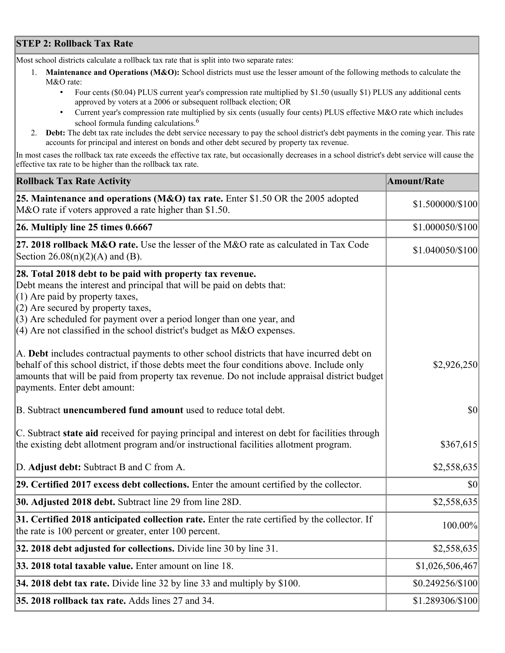## **STEP 2: Rollback Tax Rate**

Most school districts calculate a rollback tax rate that is split into two separate rates:

- 1. **Maintenance and Operations (M&O):** School districts must use the lesser amount of the following methods to calculate the M&O rate:
	- Four cents (\$0.04) PLUS current year's compression rate multiplied by \$1.50 (usually \$1) PLUS any additional cents approved by voters at a 2006 or subsequent rollback election; OR
	- Current year's compression rate multiplied by six cents (usually four cents) PLUS effective M&O rate which includes school formula funding calculations.<sup>6</sup>
- 2. **Debt:** The debt tax rate includes the debt service necessary to pay the school district's debt payments in the coming year. This rate accounts for principal and interest on bonds and other debt secured by property tax revenue.

In most cases the rollback tax rate exceeds the effective tax rate, but occasionally decreases in a school district's debt service will cause the effective tax rate to be higher than the rollback tax rate.

| <b>Rollback Tax Rate Activity</b>                                                                                                                                                                                                                                                                                                                                        | <b>Amount/Rate</b> |
|--------------------------------------------------------------------------------------------------------------------------------------------------------------------------------------------------------------------------------------------------------------------------------------------------------------------------------------------------------------------------|--------------------|
| 25. Maintenance and operations (M&O) tax rate. Enter \$1.50 OR the 2005 adopted<br>M&O rate if voters approved a rate higher than \$1.50.                                                                                                                                                                                                                                | \$1.500000/\$100   |
| $26.$ Multiply line 25 times $0.6667$                                                                                                                                                                                                                                                                                                                                    | \$1.000050/\$100   |
| 27. 2018 rollback $M&O$ rate. Use the lesser of the M $&O$ rate as calculated in Tax Code<br>Section 26.08(n)(2)(A) and (B).                                                                                                                                                                                                                                             | \$1.040050/\$100   |
| 28. Total 2018 debt to be paid with property tax revenue.<br>Debt means the interest and principal that will be paid on debts that:<br>$(1)$ Are paid by property taxes,<br>$(2)$ Are secured by property taxes,<br>$(3)$ Are scheduled for payment over a period longer than one year, and<br>$(4)$ Are not classified in the school district's budget as M&O expenses. |                    |
| A. Debt includes contractual payments to other school districts that have incurred debt on<br>behalf of this school district, if those debts meet the four conditions above. Include only<br>amounts that will be paid from property tax revenue. Do not include appraisal district budget<br>payments. Enter debt amount:                                               | \$2,926,250        |
| B. Subtract unencumbered fund amount used to reduce total debt.                                                                                                                                                                                                                                                                                                          | \$0                |
| C. Subtract state aid received for paying principal and interest on debt for facilities through<br>the existing debt allotment program and/or instructional facilities allotment program.                                                                                                                                                                                | \$367,615          |
| D. Adjust debt: Subtract B and C from A.                                                                                                                                                                                                                                                                                                                                 | \$2,558,635        |
| 29. Certified 2017 excess debt collections. Enter the amount certified by the collector.                                                                                                                                                                                                                                                                                 | \$0                |
| <b>30. Adjusted 2018 debt.</b> Subtract line 29 from line 28D.                                                                                                                                                                                                                                                                                                           | \$2,558,635        |
| 31. Certified 2018 anticipated collection rate. Enter the rate certified by the collector. If<br>the rate is 100 percent or greater, enter 100 percent.                                                                                                                                                                                                                  | 100.00%            |
| 32. 2018 debt adjusted for collections. Divide line 30 by line 31.                                                                                                                                                                                                                                                                                                       | \$2,558,635        |
| 33. 2018 total taxable value. Enter amount on line 18.                                                                                                                                                                                                                                                                                                                   | \$1,026,506,467    |
| 34. 2018 debt tax rate. Divide line 32 by line 33 and multiply by \$100.                                                                                                                                                                                                                                                                                                 | \$0.249256/\$100   |
| 35. 2018 rollback tax rate. Adds lines 27 and 34.                                                                                                                                                                                                                                                                                                                        | \$1.289306/\$100   |